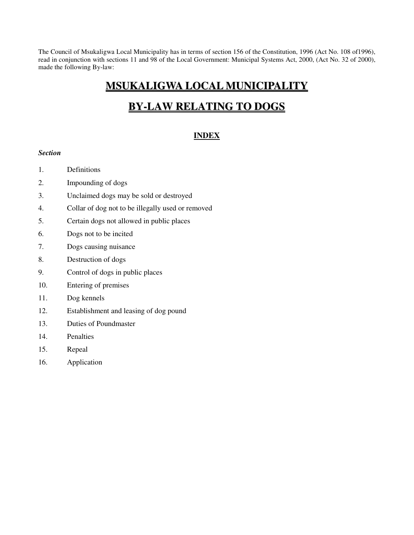The Council of Msukaligwa Local Municipality has in terms of section 156 of the Constitution, 1996 (Act No. 108 of1996), read in conjunction with sections 11 and 98 of the Local Government: Municipal Systems Act, 2000, (Act No. 32 of 2000), made the following By-law:

## **MSUKALIGWA LOCAL MUNICIPALITY**

# **BY-LAW RELATING TO DOGS**

## **INDEX**

#### *Section*

- 1. Definitions
- 2. Impounding of dogs
- 3. Unclaimed dogs may be sold or destroyed
- 4. Collar of dog not to be illegally used or removed
- 5. Certain dogs not allowed in public places
- 6. Dogs not to be incited
- 7. Dogs causing nuisance
- 8. Destruction of dogs
- 9. Control of dogs in public places
- 10. Entering of premises
- 11. Dog kennels
- 12. Establishment and leasing of dog pound
- 13. Duties of Poundmaster
- 14. Penalties
- 15. Repeal
- 16. Application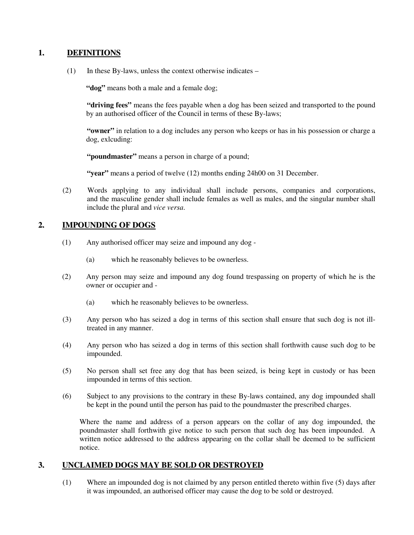## **1. DEFINITIONS**

 $(1)$  In these By-laws, unless the context otherwise indicates –

**"dog"** means both a male and a female dog;

**"driving fees"** means the fees payable when a dog has been seized and transported to the pound by an authorised officer of the Council in terms of these By-laws;

**"owner"** in relation to a dog includes any person who keeps or has in his possession or charge a dog, exlcuding:

**"poundmaster"** means a person in charge of a pound;

**"year"** means a period of twelve (12) months ending 24h00 on 31 December.

(2) Words applying to any individual shall include persons, companies and corporations, and the masculine gender shall include females as well as males, and the singular number shall include the plural and *vice versa*.

## **2. IMPOUNDING OF DOGS**

- (1) Any authorised officer may seize and impound any dog
	- (a) which he reasonably believes to be ownerless.
- (2) Any person may seize and impound any dog found trespassing on property of which he is the owner or occupier and -
	- (a) which he reasonably believes to be ownerless.
- (3) Any person who has seized a dog in terms of this section shall ensure that such dog is not illtreated in any manner.
- (4) Any person who has seized a dog in terms of this section shall forthwith cause such dog to be impounded.
- (5) No person shall set free any dog that has been seized, is being kept in custody or has been impounded in terms of this section.
- (6) Subject to any provisions to the contrary in these By-laws contained, any dog impounded shall be kept in the pound until the person has paid to the poundmaster the prescribed charges.

Where the name and address of a person appears on the collar of any dog impounded, the poundmaster shall forthwith give notice to such person that such dog has been impounded. A written notice addressed to the address appearing on the collar shall be deemed to be sufficient notice.

## **3. UNCLAIMED DOGS MAY BE SOLD OR DESTROYED**

(1) Where an impounded dog is not claimed by any person entitled thereto within five (5) days after it was impounded, an authorised officer may cause the dog to be sold or destroyed.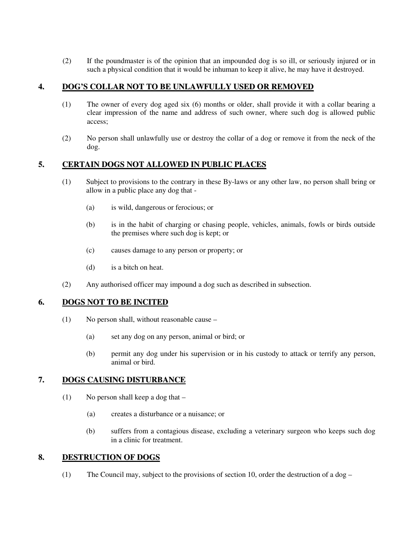(2) If the poundmaster is of the opinion that an impounded dog is so ill, or seriously injured or in such a physical condition that it would be inhuman to keep it alive, he may have it destroyed.

## **4. DOG'S COLLAR NOT TO BE UNLAWFULLY USED OR REMOVED**

- (1) The owner of every dog aged six (6) months or older, shall provide it with a collar bearing a clear impression of the name and address of such owner, where such dog is allowed public access;
- (2) No person shall unlawfully use or destroy the collar of a dog or remove it from the neck of the dog.

## **5. CERTAIN DOGS NOT ALLOWED IN PUBLIC PLACES**

- (1) Subject to provisions to the contrary in these By-laws or any other law, no person shall bring or allow in a public place any dog that -
	- (a) is wild, dangerous or ferocious; or
	- (b) is in the habit of charging or chasing people, vehicles, animals, fowls or birds outside the premises where such dog is kept; or
	- (c) causes damage to any person or property; or
	- (d) is a bitch on heat.
- (2) Any authorised officer may impound a dog such as described in subsection.

#### **6. DOGS NOT TO BE INCITED**

- (1) No person shall, without reasonable cause
	- (a) set any dog on any person, animal or bird; or
	- (b) permit any dog under his supervision or in his custody to attack or terrify any person, animal or bird.

#### **7. DOGS CAUSING DISTURBANCE**

- (1) No person shall keep a dog that
	- (a) creates a disturbance or a nuisance; or
	- (b) suffers from a contagious disease, excluding a veterinary surgeon who keeps such dog in a clinic for treatment.

## **8. DESTRUCTION OF DOGS**

(1) The Council may, subject to the provisions of section 10, order the destruction of a dog –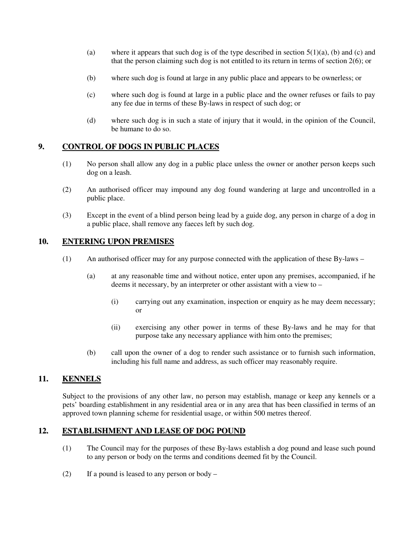- (a) where it appears that such dog is of the type described in section  $5(1)(a)$ , (b) and (c) and that the person claiming such dog is not entitled to its return in terms of section 2(6); or
- (b) where such dog is found at large in any public place and appears to be ownerless; or
- (c) where such dog is found at large in a public place and the owner refuses or fails to pay any fee due in terms of these By-laws in respect of such dog; or
- (d) where such dog is in such a state of injury that it would, in the opinion of the Council, be humane to do so.

## **9. CONTROL OF DOGS IN PUBLIC PLACES**

- (1) No person shall allow any dog in a public place unless the owner or another person keeps such dog on a leash.
- (2) An authorised officer may impound any dog found wandering at large and uncontrolled in a public place.
- (3) Except in the event of a blind person being lead by a guide dog, any person in charge of a dog in a public place, shall remove any faeces left by such dog.

## **10. ENTERING UPON PREMISES**

- (1) An authorised officer may for any purpose connected with the application of these By-laws
	- (a) at any reasonable time and without notice, enter upon any premises, accompanied, if he deems it necessary, by an interpreter or other assistant with a view to –
		- (i) carrying out any examination, inspection or enquiry as he may deem necessary; or
		- (ii) exercising any other power in terms of these By-laws and he may for that purpose take any necessary appliance with him onto the premises;
	- (b) call upon the owner of a dog to render such assistance or to furnish such information, including his full name and address, as such officer may reasonably require.

## **11. KENNELS**

Subject to the provisions of any other law, no person may establish, manage or keep any kennels or a pets' boarding establishment in any residential area or in any area that has been classified in terms of an approved town planning scheme for residential usage, or within 500 metres thereof.

## **12. ESTABLISHMENT AND LEASE OF DOG POUND**

- (1) The Council may for the purposes of these By-laws establish a dog pound and lease such pound to any person or body on the terms and conditions deemed fit by the Council.
- (2) If a pound is leased to any person or body –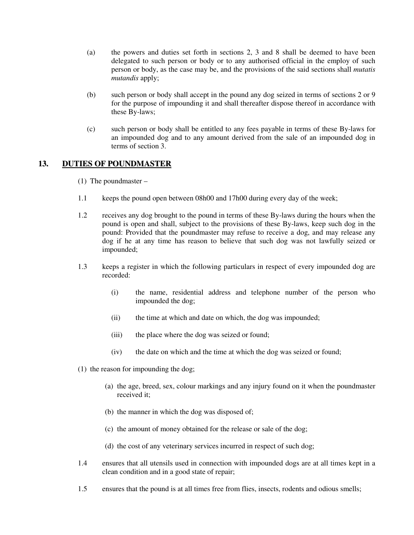- (a) the powers and duties set forth in sections 2, 3 and 8 shall be deemed to have been delegated to such person or body or to any authorised official in the employ of such person or body, as the case may be, and the provisions of the said sections shall *mutatis mutandis* apply;
- (b) such person or body shall accept in the pound any dog seized in terms of sections 2 or 9 for the purpose of impounding it and shall thereafter dispose thereof in accordance with these By-laws;
- (c) such person or body shall be entitled to any fees payable in terms of these By-laws for an impounded dog and to any amount derived from the sale of an impounded dog in terms of section 3.

## **13. DUTIES OF POUNDMASTER**

- (1) The poundmaster –
- 1.1 keeps the pound open between 08h00 and 17h00 during every day of the week;
- 1.2 receives any dog brought to the pound in terms of these By-laws during the hours when the pound is open and shall, subject to the provisions of these By-laws, keep such dog in the pound: Provided that the poundmaster may refuse to receive a dog, and may release any dog if he at any time has reason to believe that such dog was not lawfully seized or impounded;
- 1.3 keeps a register in which the following particulars in respect of every impounded dog are recorded:
	- (i) the name, residential address and telephone number of the person who impounded the dog;
	- (ii) the time at which and date on which, the dog was impounded;
	- (iii) the place where the dog was seized or found;
	- (iv) the date on which and the time at which the dog was seized or found;
- (1) the reason for impounding the dog;
	- (a) the age, breed, sex, colour markings and any injury found on it when the poundmaster received it;
	- (b) the manner in which the dog was disposed of;
	- (c) the amount of money obtained for the release or sale of the dog;
	- (d) the cost of any veterinary services incurred in respect of such dog;
- 1.4 ensures that all utensils used in connection with impounded dogs are at all times kept in a clean condition and in a good state of repair;
- 1.5 ensures that the pound is at all times free from flies, insects, rodents and odious smells;